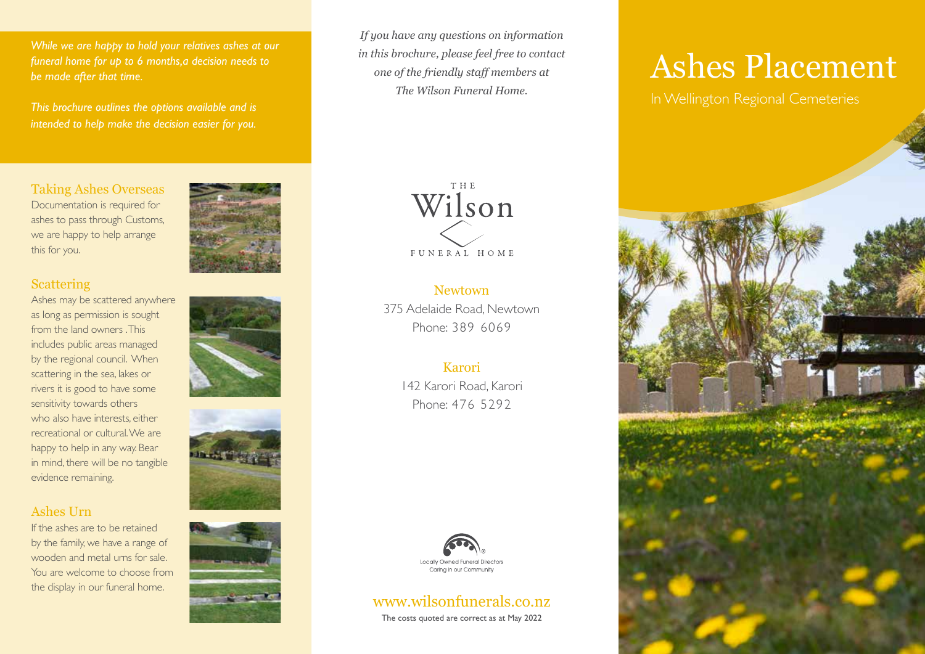*While we are happy to hold your relatives ashes at our funeral home for up to 6 months,a decision needs to be made after that time.*

*This brochure outlines the options available and is intended to help make the decision easier for you.*

## Taking Ashes Overseas

Documentation is required for ashes to pass through Customs, we are happy to help arrange this for you.

#### **Scattering**

Ashes may be scattered anywhere as long as permission is sought from the land owners . This includes public areas managed by the regional council. When scattering in the sea, lakes or rivers it is good to have some sensitivity towards others who also have interests, either recreational or cultural. We are happy to help in any way. Bear in mind, there will be no tangible evidence remaining.

### Ashes Urn

If the ashes are to be retained by the family, we have a range of wooden and metal urns for sale. You are welcome to choose from the display in our funeral home.









*If you have any questions on information in this brochure, please feel free to contact one of the friendly staff members at The Wilson Funeral Home.*



## **Newtown** 375 Adelaide Road, Newtown Phone: 389 6069

# Karori

142 Karori Road, Karori Phone: 476 5292



# www.wilsonfunerals.co.nz

The costs quoted are correct as at May 2022

# Ashes Placement

In Wellington Regional Cemeteries